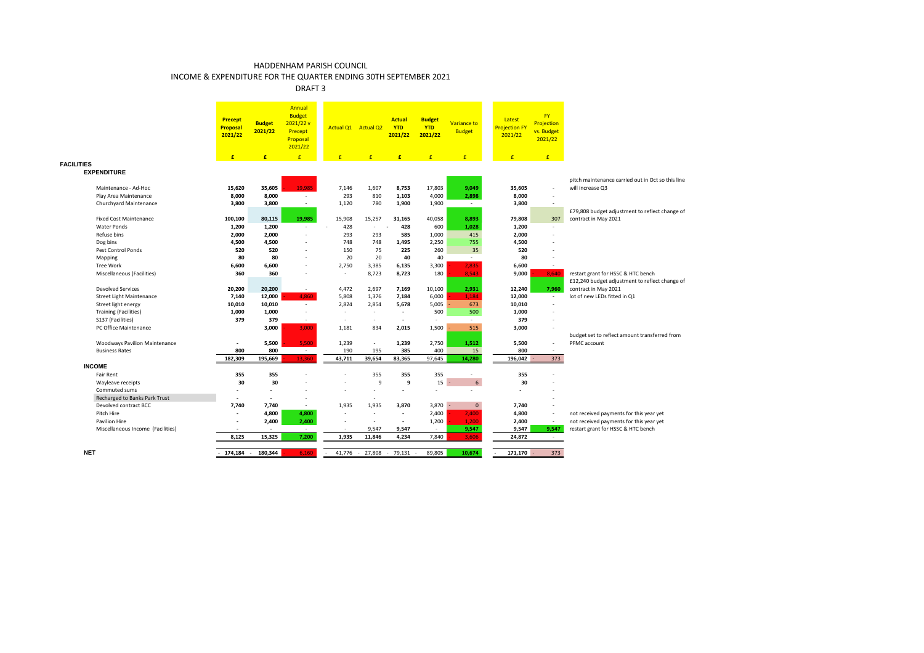DRAFT 3

|                                                | <b>Precept</b><br><b>Proposal</b><br>2021/22 | <b>Budget</b><br>2021/22 | Annual<br><b>Budget</b><br>2021/22v<br>Precept<br>Proposal<br>2021/22 |                 | Actual Q1 Actual Q2               | <b>Actual</b><br><b>YTD</b><br>2021/22 | <b>Budget</b><br><b>YTD</b><br>2021/22 | Variance to<br><b>Budget</b> | Latest<br><b>Projection FY</b><br>2021/22 | <b>FY</b><br>Projection<br>vs. Budget<br>2021/22 |                                                                        |
|------------------------------------------------|----------------------------------------------|--------------------------|-----------------------------------------------------------------------|-----------------|-----------------------------------|----------------------------------------|----------------------------------------|------------------------------|-------------------------------------------|--------------------------------------------------|------------------------------------------------------------------------|
|                                                | £                                            | £                        | E                                                                     | $\mathbf{f}$    | £                                 | F                                      |                                        | $\mathbf{f}$                 | £                                         | E                                                |                                                                        |
| <b>FACILITIES</b><br><b>EXPENDITURE</b>        |                                              |                          |                                                                       |                 |                                   |                                        |                                        |                              |                                           |                                                  | pitch maintenance carried out in Oct so this line                      |
| Maintenance - Ad-Hoc                           | 15,620                                       | 35,605                   | 19.985                                                                | 7,146           | 1,607                             | 8,753                                  | 17,803                                 | 9,049                        | 35,605                                    |                                                  | will increase Q3                                                       |
| Play Area Maintenance                          | 8,000                                        | 8,000                    | $\sim$                                                                | 293             | 810                               | 1,103                                  | 4,000                                  | 2,898                        | 8,000                                     | ٠                                                |                                                                        |
| Churchyard Maintenance                         | 3,800                                        | 3,800                    | $\sim$                                                                | 1,120           | 780                               | 1,900                                  | 1,900                                  | $\sim$                       | 3,800                                     | $\sim$                                           |                                                                        |
| <b>Fixed Cost Maintenance</b>                  | 100,100                                      | 80,115                   | 19,985                                                                | 15,908          | 15,257                            | 31.165                                 | 40,058                                 | 8,893                        | 79,808                                    | 307                                              | £79,808 budget adjustment to reflect change of<br>contract in May 2021 |
| Water Ponds                                    | 1,200                                        | 1,200                    | $\sim$                                                                | 428             | $\sim$                            | 428                                    | 600                                    | 1,028                        | 1,200                                     | ÷                                                |                                                                        |
| Refuse bins                                    | 2,000                                        | 2,000                    | $\sim$                                                                | 293             | 293                               | 585                                    | 1,000                                  | 415                          | 2,000                                     |                                                  |                                                                        |
| Dog bins                                       | 4,500                                        | 4,500                    | $\sim$                                                                | 748             | 748                               | 1,495                                  | 2,250                                  | 755                          | 4,500                                     |                                                  |                                                                        |
| Pest Control Ponds                             | 520                                          | 520                      | $\sim$                                                                | 150             | 75                                | 225                                    | 260                                    | 35                           | 520                                       |                                                  |                                                                        |
| Mapping                                        | 80                                           | 80                       | $\sim$                                                                | 20              | 20                                | 40                                     | 40                                     | $\sim$                       | 80                                        |                                                  |                                                                        |
| <b>Tree Work</b><br>Miscellaneous (Facilities) | 6,600<br>360                                 | 6,600<br>360             | $\overline{\phantom{a}}$                                              | 2,750<br>$\sim$ | 3,385<br>8,723                    | 6,135<br>8,723                         | 3,300<br>180                           | 2,835<br>8,543               | 6,600<br>9,000                            | ÷<br>8,640                                       | restart grant for HSSC & HTC bench                                     |
|                                                |                                              |                          |                                                                       |                 |                                   |                                        |                                        |                              |                                           |                                                  | £12,240 budget adjustment to reflect change of                         |
| <b>Devolved Services</b>                       | 20,200                                       | 20,200                   | $\sim$                                                                | 4,472           | 2,697                             | 7,169                                  | 10,100                                 | 2,931                        | 12,240                                    | 7,960                                            | contract in May 2021                                                   |
| <b>Street Light Maintenance</b>                | 7,140                                        | 12,000                   | 4.860                                                                 | 5,808           | 1,376                             | 7,184                                  | 6,000                                  | 1.184                        | 12,000                                    | $\sim$                                           | lot of new LEDs fitted in Q1                                           |
| Street light energy                            | 10,010                                       | 10,010                   | $\sim$                                                                | 2,824           | 2,854                             | 5,678                                  | 5,005                                  | 673                          | 10,010                                    |                                                  |                                                                        |
| <b>Training (Facilities)</b>                   | 1,000                                        | 1,000                    | $\sim$                                                                | $\sim$          | $\sim$                            | $\sim$                                 | 500                                    | 500                          | 1,000                                     |                                                  |                                                                        |
| S137 (Facilities)                              | 379                                          | 379                      | $\sim$                                                                | $\sim$          | ٠                                 |                                        | $\sim$                                 | $\sim$                       | 379                                       |                                                  |                                                                        |
| PC Office Maintenance                          |                                              | 3,000                    | 3,000                                                                 | 1,181           | 834                               | 2,015                                  | 1,500                                  | 515                          | 3,000                                     |                                                  |                                                                        |
|                                                |                                              |                          |                                                                       |                 |                                   |                                        |                                        |                              |                                           |                                                  | budget set to reflect amount transferred from                          |
| <b>Woodways Pavilion Maintenance</b>           |                                              | 5,500                    | 5.500                                                                 | 1,239           | $\overline{\phantom{a}}$          | 1,239                                  | 2,750                                  | 1,512                        | 5,500                                     | $\sim$                                           | PFMC account                                                           |
| <b>Business Rates</b>                          | 800                                          | 800                      | $\sim$                                                                | 190             | 195                               | 385                                    | 400                                    | 15                           | 800                                       | $\sim$                                           |                                                                        |
|                                                | 182,309                                      | 195,669                  | 13,360                                                                | 43,711          | 39,654                            | 83,365                                 | 97,645                                 | 14.280                       | 196,042                                   | 373                                              |                                                                        |
| <b>INCOME</b>                                  |                                              |                          |                                                                       |                 |                                   |                                        |                                        |                              |                                           |                                                  |                                                                        |
| Fair Rent                                      | 355                                          | 355                      |                                                                       |                 | 355                               | 355                                    | 355                                    |                              | 355                                       |                                                  |                                                                        |
| Wayleave receipts                              | 30                                           | 30                       |                                                                       | ٠<br>÷          | 9                                 | 9<br>$\sim$                            | 15                                     | $6\overline{6}$<br>$\sim$    | 30                                        |                                                  |                                                                        |
| Commuted sums<br>Recharged to Banks Park Trust |                                              | $\overline{\phantom{a}}$ |                                                                       |                 | ٠                                 |                                        |                                        |                              |                                           |                                                  |                                                                        |
| Devolved contract BCC                          | 7.740                                        | 7,740                    | $\sim$                                                                | 1,935           | $\overline{\phantom{a}}$<br>1,935 | 3,870                                  | $3,870 -$                              | $\mathbf{0}$                 | 7,740                                     |                                                  |                                                                        |
| Pitch Hire                                     | $\overline{\phantom{a}}$                     | 4,800                    | 4,800                                                                 | ÷.              | ٠                                 | $\overline{\phantom{a}}$               | 2,400                                  | 2,400                        | 4,800                                     | ÷                                                | not received payments for this year yet                                |
| Pavilion Hire                                  | $\overline{\phantom{a}}$                     | 2,400                    | 2,400                                                                 | $\sim$          | $\sim$                            | $\sim$                                 | 1,200                                  | 1.200                        | 2,400                                     | $\sim$                                           | not received payments for this year yet                                |
| Miscellaneous Income (Facilities)              |                                              |                          | $\sim$                                                                |                 | 9,547                             | 9,547                                  | $\sim$                                 | 9,547                        | 9,547                                     | 9,547                                            | restart grant for HSSC & HTC bench                                     |
|                                                | 8,125                                        | 15,325                   | 7,200                                                                 | 1,935           | 11,846                            | 4,234                                  | 7,840                                  | 3,606                        | 24,872                                    | $\sim$                                           |                                                                        |
|                                                |                                              |                          |                                                                       |                 |                                   |                                        |                                        |                              |                                           |                                                  |                                                                        |
| <b>NET</b>                                     | $-174.184-$                                  | 180.344                  | 6.160                                                                 |                 | 41.776 - 27.808 - 79.131          |                                        | 89,805                                 | 10.674                       | $171,170 -$                               | 373                                              |                                                                        |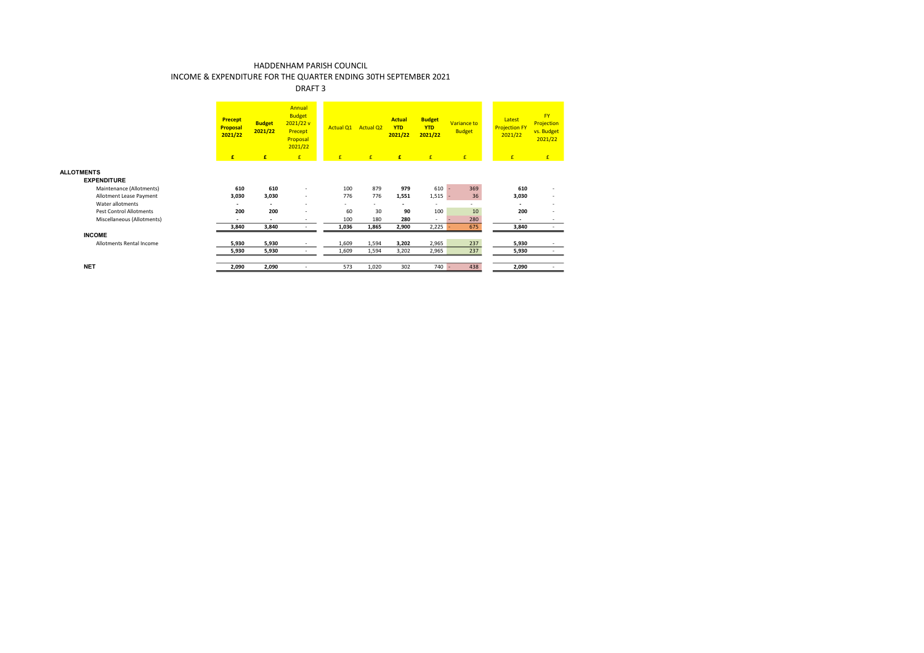### DRAFT 3

|                                         | <b>Precept</b><br><b>Proposal</b><br>2021/22 | <b>Budget</b><br>2021/22 | Annual<br><b>Budget</b><br>2021/22v<br>Precept<br>Proposal<br>2021/22 | <b>Actual O1</b> | <b>Actual Q2</b> | <b>Actual</b><br><b>YTD</b><br>2021/22 | <b>Budget</b><br><b>YTD</b><br>2021/22 | Variance to<br><b>Budget</b> | Latest<br><b>Projection FY</b><br>2021/22 | <b>FY</b><br>Projection<br>vs. Budget<br>2021/22 |
|-----------------------------------------|----------------------------------------------|--------------------------|-----------------------------------------------------------------------|------------------|------------------|----------------------------------------|----------------------------------------|------------------------------|-------------------------------------------|--------------------------------------------------|
|                                         | E                                            | £                        | £                                                                     | £                | £                | £                                      | E                                      | E                            | £                                         | E                                                |
| <b>ALLOTMENTS</b><br><b>EXPENDITURE</b> |                                              |                          |                                                                       |                  |                  |                                        |                                        |                              |                                           |                                                  |
| Maintenance (Allotments)                | 610                                          | 610                      | $\overline{\phantom{a}}$                                              | 100              | 879              | 979                                    | 610                                    | 369                          | 610                                       |                                                  |
| Allotment Lease Payment                 | 3,030                                        | 3,030                    | $\overline{\phantom{a}}$                                              | 776              | 776              | 1,551                                  | 1,515                                  | 36                           | 3,030                                     |                                                  |
| Water allotments                        | ٠                                            | ٠                        | $\overline{\phantom{a}}$                                              | $\sim$           | ٠                | ٠                                      |                                        | ۰.                           | ٠                                         |                                                  |
| Pest Control Allotments                 | 200                                          | 200                      | $\overline{\phantom{a}}$                                              | 60               | 30               | 90                                     | 100                                    | 10                           | 200                                       |                                                  |
| Miscellaneous (Allotments)              | ٠                                            | $\overline{\phantom{a}}$ | $\overline{\phantom{a}}$                                              | 100              | 180              | 280                                    | $\sim$                                 | 280                          | $\overline{\phantom{a}}$                  | $\overline{\phantom{a}}$                         |
|                                         | 3,840                                        | 3,840                    |                                                                       | 1,036            | 1,865            | 2,900                                  | 2,225                                  | 675                          | 3,840                                     |                                                  |
| <b>INCOME</b>                           |                                              |                          |                                                                       |                  |                  |                                        |                                        |                              |                                           |                                                  |
| Allotments Rental Income                | 5,930                                        | 5,930                    |                                                                       | 1,609            | 1,594            | 3,202                                  | 2,965                                  | 237                          | 5,930                                     |                                                  |
|                                         | 5,930                                        | 5,930                    |                                                                       | 1,609            | 1,594            | 3,202                                  | 2,965                                  | 237                          | 5,930                                     |                                                  |
|                                         |                                              |                          |                                                                       |                  |                  |                                        |                                        |                              |                                           |                                                  |
| <b>NET</b>                              | 2,090                                        | 2,090                    |                                                                       | 573              | 1,020            | 302                                    | 740                                    | 438                          | 2,090                                     |                                                  |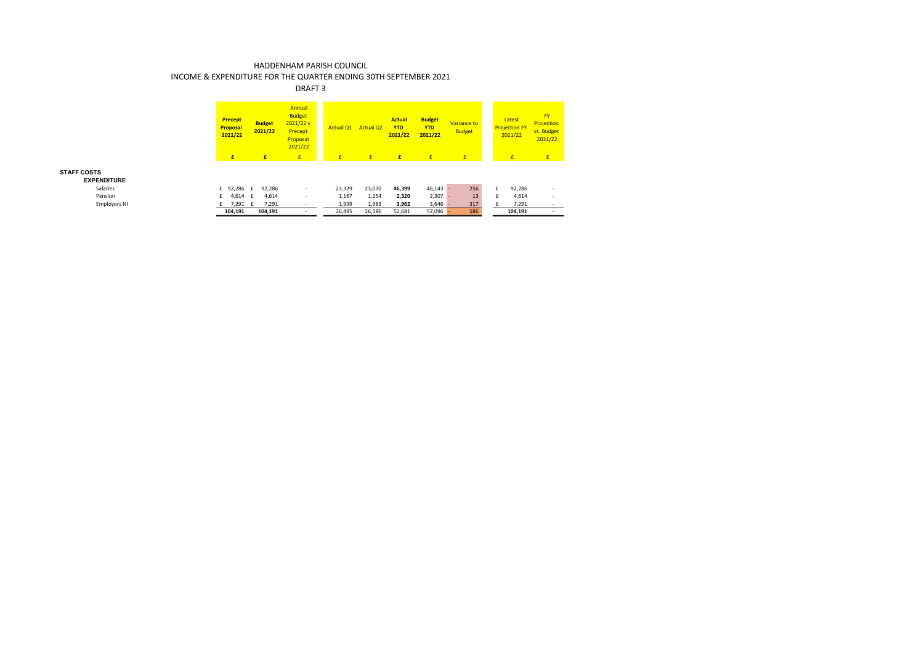### DRAFT 3

|                     |   | <b>Precept</b><br>Proposal<br>2021/22 | <b>Budget</b><br>2021/22 | Annual<br><b>Budget</b><br>2021/22v<br>Precept<br>Proposal<br>2021/22 | <b>Actual Q1</b> | <b>Actual Q2</b> | <b>Actual</b><br><b>YTD</b><br>2021/22 | <b>Budget</b><br><b>YTD</b><br>2021/22 | Variance to<br><b>Budget</b> | Latest<br><b>Projection FY</b><br>2021/22 | <b>FY</b><br>Projection<br>vs. Budget<br>2021/22 |  |
|---------------------|---|---------------------------------------|--------------------------|-----------------------------------------------------------------------|------------------|------------------|----------------------------------------|----------------------------------------|------------------------------|-------------------------------------------|--------------------------------------------------|--|
|                     |   | £                                     | E                        | E                                                                     | E                | £                | £                                      | £.                                     | E                            | $\mathbf{f}$                              | E                                                |  |
| <b>ENDITURE</b>     |   |                                       |                          |                                                                       |                  |                  |                                        |                                        |                              |                                           |                                                  |  |
| Salaries            |   | £ 92,286 £                            | 92,286                   | $\overline{\phantom{a}}$                                              | 23,329           | 23,070           | 46,399                                 | $46,143 -$                             | 256                          | £<br>92,286                               | $\overline{\phantom{a}}$                         |  |
| Pension             | £ | 4,614 £                               | 4,614                    | $\overline{\phantom{a}}$                                              | 1,167            | 1,154            | 2,320                                  | 2,307                                  | 13                           | 4,614<br>f                                | $\overline{\phantom{a}}$                         |  |
| <b>Employers NI</b> |   | 7,291 £                               | 7,291                    |                                                                       | 1,999            | 1,963            | 3,962                                  | 3,646                                  | 317                          | 7,291                                     | $\sim$                                           |  |
|                     |   | 104,191                               | 104,191                  | $\overline{\phantom{a}}$                                              | 26,495           | 26,186           | 52,681                                 | 52,096                                 | 586                          | 104,191                                   | $\overline{\phantom{a}}$                         |  |

#### **STAFF COSTS**

**EXPENDITURE**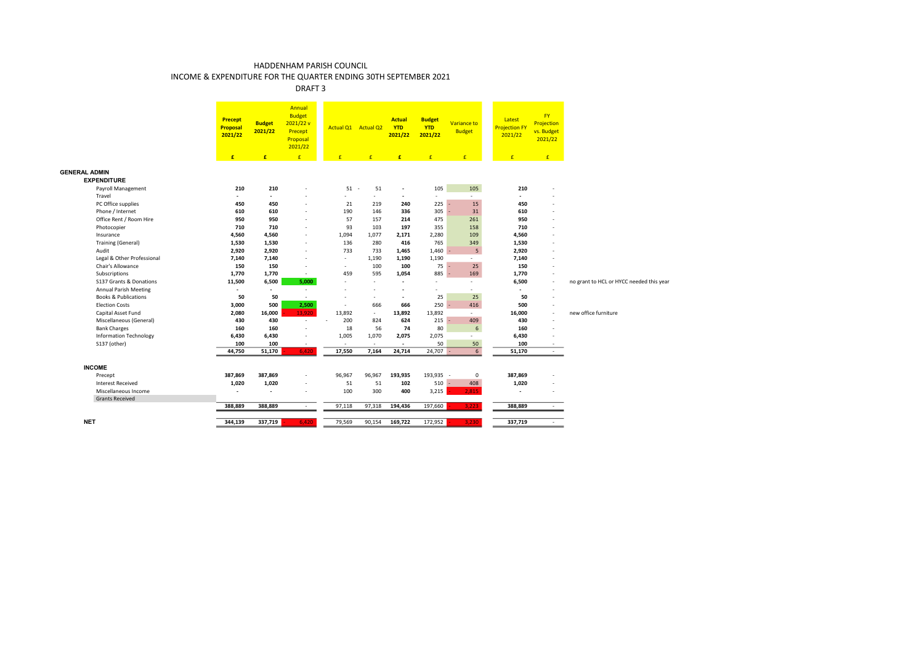DRAFT 3

|                                 | <b>Precept</b><br>Proposal<br>2021/22 | <b>Budget</b><br>2021/22 | Annual<br><b>Budget</b><br>2021/22v<br>Precept<br>Proposal<br>2021/22 |        | Actual Q1 Actual Q2 | <b>Actual</b><br><b>YTD</b><br>2021/22 | <b>Budget</b><br><b>YTD</b><br>2021/22 | Variance to<br><b>Budget</b> | Latest<br><b>Projection FY</b><br>2021/22 | <b>FY</b><br>Projection<br>vs. Budget<br>2021/22 |                                          |
|---------------------------------|---------------------------------------|--------------------------|-----------------------------------------------------------------------|--------|---------------------|----------------------------------------|----------------------------------------|------------------------------|-------------------------------------------|--------------------------------------------------|------------------------------------------|
|                                 | $\mathbf{f}$                          | $\mathbf{f}$             | E                                                                     | E      | $\mathbf{f}$        | £                                      | E                                      | E                            | $\mathbf{f}$                              | E                                                |                                          |
| <b>GENERAL ADMIN</b>            |                                       |                          |                                                                       |        |                     |                                        |                                        |                              |                                           |                                                  |                                          |
| <b>EXPENDITURE</b>              |                                       |                          |                                                                       |        |                     |                                        |                                        |                              |                                           |                                                  |                                          |
| Payroll Management              | 210                                   | 210                      | ٠                                                                     |        | $51 -$<br>51        | $\overline{\phantom{a}}$               | 105                                    | 105                          | 210                                       |                                                  |                                          |
| Travel                          | $\sim$                                | $\overline{a}$           |                                                                       | ÷.     | $\sim$              | $\overline{\phantom{a}}$               | $\overline{\phantom{a}}$               |                              | $\overline{a}$                            |                                                  |                                          |
| PC Office supplies              | 450                                   | 450                      | ÷,                                                                    | 21     | 219                 | 240                                    | 225                                    | 15                           | 450                                       |                                                  |                                          |
| Phone / Internet                | 610                                   | 610                      | ٠                                                                     | 190    | 146                 | 336                                    | 305                                    | 31                           | 610                                       |                                                  |                                          |
| Office Rent / Room Hire         | 950                                   | 950                      | ÷                                                                     | 57     | 157                 | 214                                    | 475                                    | 261                          | 950                                       |                                                  |                                          |
| Photocopier                     | 710                                   | 710                      | $\overline{\phantom{a}}$                                              | 93     | 103                 | 197                                    | 355                                    | 158                          | 710                                       |                                                  |                                          |
| Insurance                       | 4,560                                 | 4,560                    | ٠                                                                     | 1,094  | 1,077               | 2,171                                  | 2,280                                  | 109                          | 4,560                                     |                                                  |                                          |
| <b>Training (General)</b>       | 1,530                                 | 1,530                    | ٠                                                                     | 136    | 280                 | 416                                    | 765                                    | 349                          | 1,530                                     |                                                  |                                          |
| Audit                           | 2,920                                 | 2,920                    | ٠                                                                     | 733    | 733                 | 1,465                                  | $1,460 -$                              | 5                            | 2,920                                     |                                                  |                                          |
| Legal & Other Professional      | 7,140                                 | 7,140                    | ÷                                                                     | ÷.     | 1,190               | 1,190                                  | 1,190                                  | ÷                            | 7,140                                     |                                                  |                                          |
| Chair's Allowance               | 150                                   | 150                      | ٠                                                                     | $\sim$ | 100                 | 100                                    | $75 -$                                 | 25                           | 150                                       |                                                  |                                          |
| Subscriptions                   | 1.770                                 | 1,770                    | $\sim$                                                                | 459    | 595                 | 1,054                                  | $885 -$                                | 169                          | 1,770                                     |                                                  |                                          |
| S137 Grants & Donations         | 11,500                                | 6,500                    | 5,000                                                                 | ÷.     | $\sim$              | $\sim$                                 | $\overline{\phantom{a}}$               | ÷                            | 6,500                                     | $\sim$                                           | no grant to HCL or HYCC needed this year |
| Annual Parish Meeting           | ٠                                     | $\overline{\phantom{a}}$ | $\sim$                                                                |        |                     | $\sim$                                 | ٠                                      | $\overline{\phantom{a}}$     | $\overline{a}$                            | $\overline{\phantom{a}}$                         |                                          |
| <b>Books &amp; Publications</b> | 50                                    | 50                       | $\sim$                                                                | ÷,     | $\sim$              | $\overline{\phantom{a}}$               | 25                                     | 25                           | 50                                        | $\sim$                                           |                                          |
| <b>Election Costs</b>           | 3,000                                 | 500                      | 2,500                                                                 | ÷.     | 666                 | 666                                    | 250                                    | 416                          | 500                                       | $\sim$                                           |                                          |
| Capital Asset Fund              | 2,080                                 | 16,000                   | 13,920                                                                | 13,892 | $\sim$              | 13,892                                 | 13,892                                 | $\sim$                       | 16,000                                    | $\sim$                                           | new office furniture                     |
| Miscellaneous (General)         | 430                                   | 430                      | $\sim$                                                                | 200    | 824                 | 624                                    | 215                                    | 409                          | 430                                       | $\sim$                                           |                                          |
| <b>Bank Charges</b>             | 160                                   | 160                      | ٠                                                                     | 18     | 56                  | 74                                     | 80                                     | $6\phantom{1}$               | 160                                       |                                                  |                                          |
| <b>Information Technology</b>   | 6,430                                 | 6,430                    | $\overline{\phantom{a}}$                                              | 1,005  | 1,070               | 2,075                                  | 2,075                                  | $\overline{\phantom{a}}$     | 6,430                                     |                                                  |                                          |
| S137 (other)                    | 100                                   | 100                      | $\sim$                                                                | ÷.     | $\sim$              | $\sim$                                 | 50                                     | 50                           | 100                                       |                                                  |                                          |
|                                 | 44,750                                | 51,170                   | 6,420                                                                 | 17,550 | 7,164               | 24,714                                 | $24,707 -$                             | $6\overline{6}$              | 51,170                                    | $\sim$                                           |                                          |
| <b>INCOME</b>                   |                                       |                          |                                                                       |        |                     |                                        |                                        |                              |                                           |                                                  |                                          |
| Precept                         | 387,869                               | 387,869                  | ٠                                                                     | 96.967 | 96,967              | 193,935                                | 193,935 -                              | $\mathbf 0$                  | 387,869                                   |                                                  |                                          |
| <b>Interest Received</b>        | 1,020                                 | 1,020                    | $\overline{\phantom{m}}$                                              | 51     | 51                  | 102                                    | $510 -$                                | 408                          | 1,020                                     |                                                  |                                          |
| Miscellaneous Income            | $\overline{\phantom{a}}$              | $\overline{\phantom{a}}$ | $\overline{\phantom{a}}$                                              | 100    | 300                 | 400                                    | 3,215                                  | 2,815                        | $\overline{\phantom{a}}$                  |                                                  |                                          |
| <b>Grants Received</b>          |                                       |                          |                                                                       |        |                     |                                        |                                        |                              |                                           |                                                  |                                          |
|                                 | 388,889                               | 388,889                  | $\sim$                                                                | 97,118 | 97,318              | 194,436                                | 197,660                                | 3,223                        | 388,889                                   | $\sim$                                           |                                          |
| <b>NET</b>                      | 344,139                               | 337,719                  | 6,420                                                                 | 79,569 | 90,154              | 169,722                                | 172,952                                | 3,230                        | 337,719                                   | $\sim$                                           |                                          |
|                                 |                                       |                          |                                                                       |        |                     |                                        |                                        |                              |                                           |                                                  |                                          |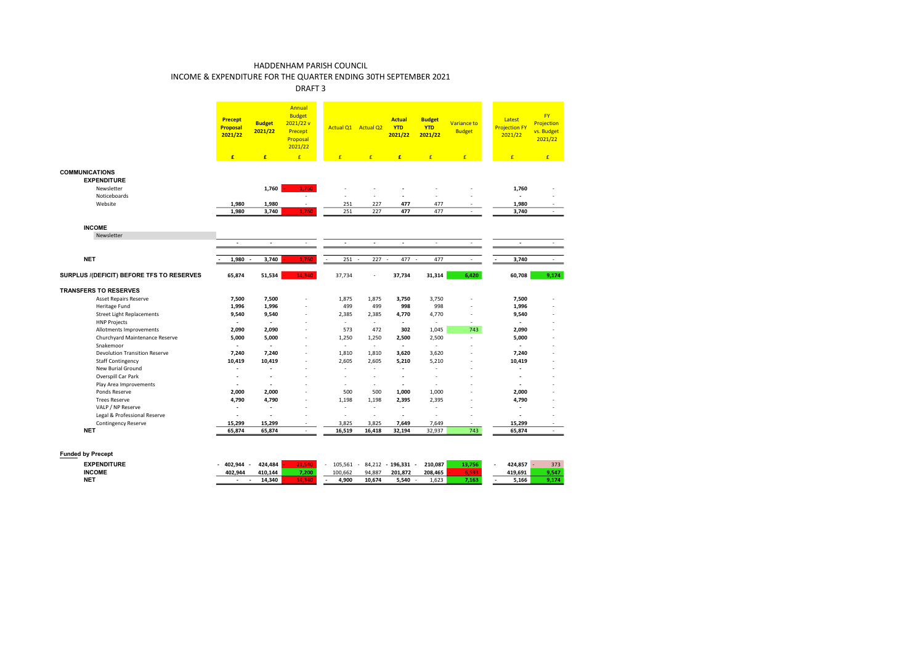### DRAFT 3

|                                           | <b>Precept</b><br><b>Proposal</b><br>2021/22 | <b>Budget</b><br>2021/22 | Annual<br><b>Budget</b><br>2021/22v<br>Precept<br>Proposal<br>2021/22 | Actual Q1 Actual Q2         |                             | <b>Actual</b><br><b>YTD</b><br>2021/22 | <b>Budget</b><br><b>YTD</b><br>2021/22 | Variance to<br><b>Budget</b> | Latest<br><b>Projection FY</b><br>2021/22 | <b>FY</b><br>Projection<br>vs. Budget<br>2021/22 |
|-------------------------------------------|----------------------------------------------|--------------------------|-----------------------------------------------------------------------|-----------------------------|-----------------------------|----------------------------------------|----------------------------------------|------------------------------|-------------------------------------------|--------------------------------------------------|
|                                           | £                                            | £                        | E                                                                     | E                           | £                           | £                                      | $\mathbf{f}$                           | £                            | £                                         | f                                                |
| <b>COMMUNICATIONS</b>                     |                                              |                          |                                                                       |                             |                             |                                        |                                        |                              |                                           |                                                  |
| <b>EXPENDITURE</b>                        |                                              |                          |                                                                       |                             |                             |                                        |                                        |                              |                                           |                                                  |
| Newsletter                                |                                              | 1,760                    | 1.760                                                                 |                             |                             |                                        |                                        |                              | 1,760                                     |                                                  |
| Noticeboards                              |                                              |                          | ä,                                                                    |                             |                             | ٠                                      |                                        |                              |                                           |                                                  |
| Website                                   | 1,980                                        | 1,980                    | ÷,                                                                    | 251                         | 227                         | 477                                    | 477                                    |                              | 1,980                                     |                                                  |
|                                           | 1,980                                        | 3,740                    | 1,760                                                                 | 251                         | 227                         | 477                                    | 477                                    | $\sim$                       | 3,740                                     | ÷                                                |
|                                           |                                              |                          |                                                                       |                             |                             |                                        |                                        |                              |                                           |                                                  |
| <b>INCOME</b>                             |                                              |                          |                                                                       |                             |                             |                                        |                                        |                              |                                           |                                                  |
| Newsletter                                | $\mathcal{L}_{\mathcal{A}}$                  | $\sim$                   | $\sim$                                                                | $\mathcal{L}_{\mathcal{A}}$ | $\mathcal{L}_{\mathcal{A}}$ | $\sim$                                 | ×.                                     | $\sim$                       | $\blacksquare$                            | $\sim$                                           |
|                                           |                                              |                          |                                                                       |                             |                             |                                        |                                        |                              |                                           |                                                  |
| <b>NET</b>                                | 1,980<br>$\sim$                              | 3,740                    | 1,760                                                                 | 251                         | $227 -$<br>$\sim$           | 477 -                                  | 477                                    | $\sim$                       | 3,740                                     | ÷.                                               |
| SURPLUS /(DEFICIT) BEFORE TFS TO RESERVES | 65,874                                       | 51,534                   | 14.340                                                                | 37,734                      | $\overline{\phantom{a}}$    | 37,734                                 | 31,314                                 | 6,420                        | 60,708                                    | 9,174                                            |
| <b>TRANSFERS TO RESERVES</b>              |                                              |                          |                                                                       |                             |                             |                                        |                                        |                              |                                           |                                                  |
| <b>Asset Repairs Reserve</b>              | 7,500                                        | 7,500                    | ä,                                                                    | 1,875                       | 1,875                       | 3,750                                  | 3,750                                  |                              | 7,500                                     |                                                  |
| Heritage Fund                             | 1,996                                        | 1,996                    | ä,                                                                    | 499                         | 499                         | 998                                    | 998                                    | ÷,                           | 1,996                                     |                                                  |
| <b>Street Light Replacements</b>          | 9,540                                        | 9,540                    | ä,                                                                    | 2,385                       | 2,385                       | 4,770                                  | 4,770                                  | ÷                            | 9,540                                     |                                                  |
| <b>HNP Projects</b>                       |                                              | $\blacksquare$           | ٠                                                                     | $\sim$                      | $\sim$                      | $\sim$                                 | $\sim$                                 | $\sim$                       |                                           |                                                  |
| Allotments Improvements                   | 2,090                                        | 2.090                    | ä,                                                                    | 573                         | 472                         | 302                                    | 1.045                                  | 743                          | 2,090                                     |                                                  |
| Churchyard Maintenance Reserve            | 5,000                                        | 5,000                    | ٠                                                                     | 1,250                       | 1,250                       | 2,500                                  | 2,500                                  | ÷                            | 5,000                                     |                                                  |
| Snakemoor                                 |                                              | $\blacksquare$           | ٠                                                                     | $\sim$                      | $\sim$                      | $\overline{\phantom{a}}$               | х.                                     | ٠                            | $\sim$                                    |                                                  |
| <b>Devolution Transition Reserve</b>      | 7,240                                        | 7,240                    | ÷,                                                                    | 1,810                       | 1,810                       | 3,620                                  | 3,620                                  | ÷                            | 7,240                                     |                                                  |
| <b>Staff Contingency</b>                  | 10,419                                       | 10,419                   | ä,                                                                    | 2,605                       | 2,605                       | 5,210                                  | 5,210                                  | ä,                           | 10,419                                    |                                                  |
| New Burial Ground                         |                                              |                          |                                                                       |                             | ٠                           | ٠                                      |                                        |                              |                                           |                                                  |
| Overspill Car Park                        |                                              | $\overline{\phantom{a}}$ | ٠                                                                     |                             | $\sim$                      | ٠                                      | ÷                                      | ÷                            |                                           |                                                  |
| Play Area Improvements                    | ٠                                            | $\ddot{\phantom{1}}$     | ٠                                                                     | $\sim$                      | $\sim$                      | $\blacksquare$                         | ٠                                      |                              | $\sim$                                    |                                                  |
| Ponds Reserve                             | 2,000                                        | 2,000                    |                                                                       | 500                         | 500                         | 1,000                                  | 1,000                                  |                              | 2,000                                     |                                                  |
| <b>Trees Reserve</b>                      | 4,790                                        | 4,790                    | ä,                                                                    | 1,198                       | 1,198                       | 2,395                                  | 2,395                                  | ÷                            | 4,790                                     |                                                  |
| VALP / NP Reserve                         | $\overline{\phantom{a}}$                     | $\ddot{\phantom{1}}$     | ä,                                                                    | ä,                          | ٠                           | ٠                                      |                                        |                              |                                           |                                                  |
| Legal & Professional Reserve              |                                              | ÷.                       | ä,                                                                    | ÷,                          | $\overline{\phantom{a}}$    | $\blacksquare$                         |                                        | ÷                            |                                           | ۰                                                |
| Contingency Reserve                       | 15,299                                       | 15,299                   | ÷                                                                     | 3,825                       | 3,825                       | 7,649                                  | 7,649                                  | $\sim$                       | 15,299                                    | ۰                                                |
| <b>NET</b>                                | 65,874                                       | 65,874                   | $\sim$                                                                | 16,519                      | 16,418                      | 32,194                                 | 32,937                                 | 743                          | 65,874                                    | ÷                                                |

### **Funded by Precept**

| <b>EXPENDITURE</b> | 402.944 | 424.484 | - 45<br>21.3 | 105.561 | 84.212 | 196.331 | 210.087 | 10.700 | 424.857 | 373                 |
|--------------------|---------|---------|--------------|---------|--------|---------|---------|--------|---------|---------------------|
| <b>INCOME</b>      | 402.944 | 410.144 | 7.200        | 100.662 | 94.887 | 201.872 | 208.465 |        | 419.691 | 9.547               |
| <b>NET</b>         | $\sim$  | 14.340  |              | 4.900   | 10.674 | 5.540   | 1.623   | 7.163  | 5.166   | <b>0.474</b><br>--- |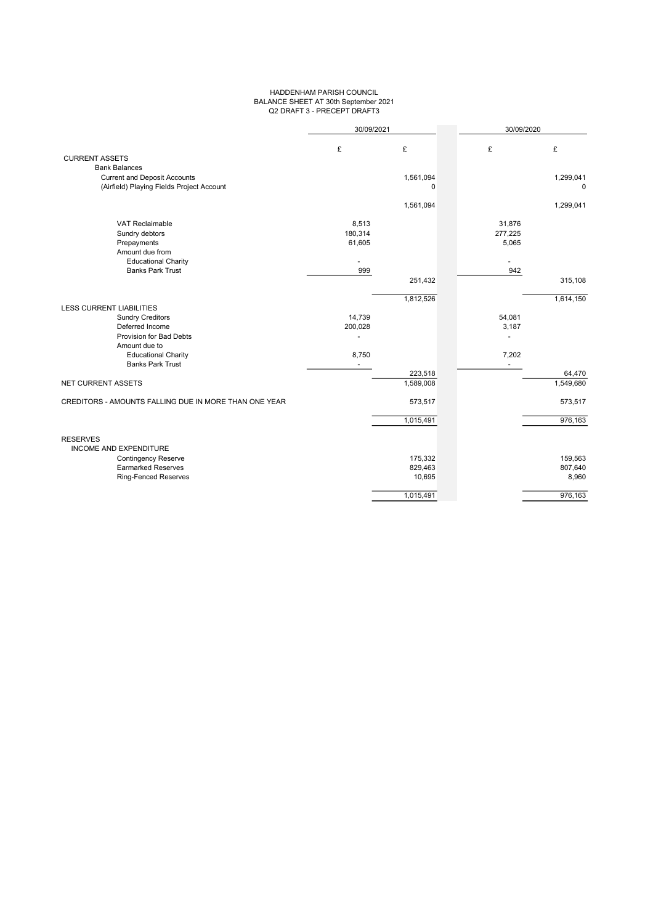### HADDENHAM PARISH COUNCIL BALANCE SHEET AT 30th September 2021 Q2 DRAFT 3 - PRECEPT DRAFT3

|                                                       | 30/09/2021     |           | 30/09/2020 |           |
|-------------------------------------------------------|----------------|-----------|------------|-----------|
|                                                       | £              | £         | £          | £         |
| <b>CURRENT ASSETS</b><br><b>Bank Balances</b>         |                |           |            |           |
| <b>Current and Deposit Accounts</b>                   |                | 1,561,094 |            | 1,299,041 |
| (Airfield) Playing Fields Project Account             |                | 0         |            | 0         |
|                                                       |                | 1,561,094 |            | 1,299,041 |
| VAT Reclaimable                                       | 8,513          |           | 31,876     |           |
| Sundry debtors                                        | 180,314        |           | 277,225    |           |
| Prepayments                                           | 61,605         |           | 5,065      |           |
| Amount due from                                       |                |           |            |           |
| <b>Educational Charity</b>                            |                |           |            |           |
| <b>Banks Park Trust</b>                               | 999            |           | 942        |           |
|                                                       |                | 251,432   |            | 315,108   |
|                                                       |                | 1,812,526 |            | 1,614,150 |
| <b>LESS CURRENT LIABILITIES</b>                       |                |           |            |           |
| <b>Sundry Creditors</b>                               | 14,739         |           | 54,081     |           |
| Deferred Income                                       | 200,028        |           | 3,187      |           |
| Provision for Bad Debts                               |                |           |            |           |
| Amount due to                                         |                |           |            |           |
| <b>Educational Charity</b><br><b>Banks Park Trust</b> | 8,750          |           | 7,202      |           |
|                                                       | $\overline{a}$ | 223,518   | $\sim$     | 64,470    |
| <b>NET CURRENT ASSETS</b>                             |                | 1,589,008 |            | 1,549,680 |
|                                                       |                |           |            |           |
| CREDITORS - AMOUNTS FALLING DUE IN MORE THAN ONE YEAR |                | 573,517   |            | 573,517   |
|                                                       |                | 1,015,491 |            | 976,163   |
| <b>RESERVES</b>                                       |                |           |            |           |
| <b>INCOME AND EXPENDITURE</b>                         |                |           |            |           |
| <b>Contingency Reserve</b>                            |                | 175,332   |            | 159,563   |
| <b>Earmarked Reserves</b>                             |                | 829,463   |            | 807,640   |
| <b>Ring-Fenced Reserves</b>                           |                | 10,695    |            | 8,960     |
|                                                       |                | 1,015,491 |            | 976,163   |